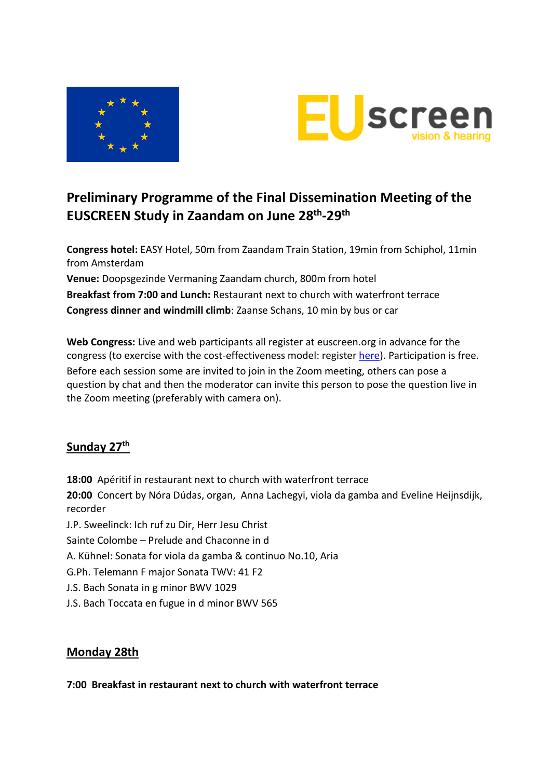



# **Preliminary Programme of the Final Dissemination Meeting of the EUSCREEN Study in Zaandam on June 28th-29th**

**Congress hotel:** EASY Hotel, 50m from Zaandam Train Station, 19min from Schiphol, 11min from Amsterdam

**Venue:** Doopsgezinde Vermaning Zaandam church, 800m from hotel **Breakfast from 7:00 and Lunch:** Restaurant next to church with waterfront terrace **Congress dinner and windmill climb**: Zaanse Schans, 10 min by bus or car

**Web Congress:** Live and web participants all register at euscreen.org in advance for the congress (to exercise with the cost-effectiveness model: register [here\)](https://miscan.euscreen.org/register/). Participation is free. Before each session some are invited to join in the Zoom meeting, others can pose a question by chat and then the moderator can invite this person to pose the question live in the Zoom meeting (preferably with camera on).

# **Sunday 27th**

**18:00** Apéritif in restaurant next to church with waterfront terrace **20:00** Concert by Nóra Dúdas, organ, Anna Lachegyi, viola da gamba and Eveline Heijnsdijk, recorder J.P. Sweelinck: Ich ruf zu Dir, Herr Jesu Christ Sainte Colombe – Prelude and Chaconne in d A. Kühnel: Sonata for viola da gamba & continuo No.10, Aria G.Ph. Telemann F major Sonata TWV: 41 F2 J.S. Bach Sonata in g minor BWV 1029

J.S. Bach Toccata en fugue in d minor BWV 565

# **Monday 28th**

#### **7:00 Breakfast in restaurant next to church with waterfront terrace**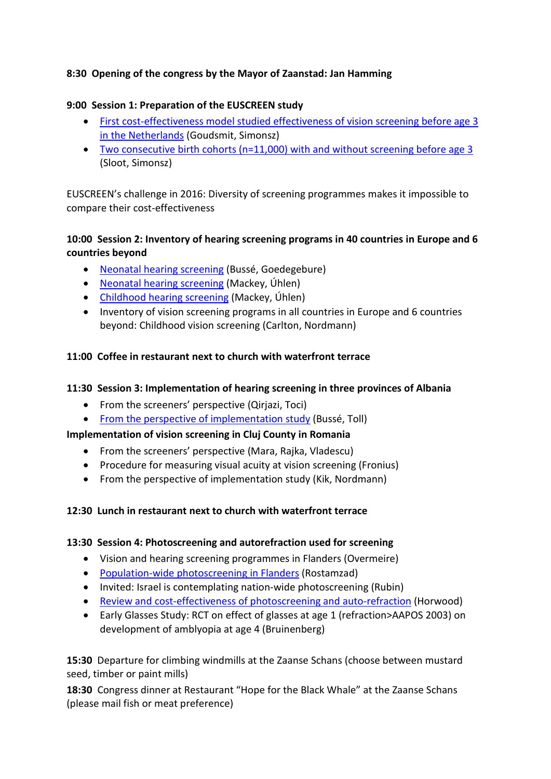## **8:30 Opening of the congress by the Mayor of Zaanstad: Jan Hamming**

#### **9:00 Session 1: Preparation of the EUSCREEN study**

- [First cost-effectiveness model studied effectiveness of vision screening before age](https://journals.sagepub.com/doi/10.1177/0969141316670422) 3 [in the Netherlands](https://journals.sagepub.com/doi/10.1177/0969141316670422) (Goudsmit, Simonsz)
- [Two consecutive birth cohorts \(n=11,000\)](https://onlinelibrary.wiley.com/doi/10.1111/aos.14859) with and without screening before age 3 (Sloot, Simonsz)

EUSCREEN's challenge in 2016: Diversity of screening programmes makes it impossible to compare their cost-effectiveness

## **10:00 Session 2: Inventory of hearing screening programs in 40 countries in Europe and 6 countries beyond**

- [Neonatal hearing screening](https://doi.org/10.1080/14992027.2021.1886350) (Bussé, Goedegebure)
- [Neonatal hearing screening](https://doi.org/10.1080/14992027.2021.1886351) (Mackey, Úhlen)
- [Childhood hearing screening](https://doi.org/10.1080/14992027.2021.1897170) (Mackey, Úhlen)
- Inventory of vision screening programs in all countries in Europe and 6 countries beyond: Childhood vision screening (Carlton, Nordmann)

## **11:00 Coffee in restaurant next to church with waterfront terrace**

## **11:30 Session 3: Implementation of hearing screening in three provinces of Albania**

- From the screeners' perspective (Qirjazi, Toci)
- [From the perspective of implementation study](https://www.sciencedirect.com/science/article/pii/S0165587620301828) (Bussé, Toll)

## **Implementation of vision screening in Cluj County in Romania**

- From the screeners' perspective (Mara, Rajka, Vladescu)
- Procedure for measuring visual acuity at vision screening (Fronius)
- From the perspective of implementation study (Kik, Nordmann)

## **12:30 Lunch in restaurant next to church with waterfront terrace**

#### **13:30 Session 4: Photoscreening and autorefraction used for screening**

- Vision and hearing screening programmes in Flanders (Overmeire)
- [Population-wide photoscreening](https://onlinelibrary.wiley.com/doi/10.1111/aos.14144) in Flanders (Rostamzad)
- Invited: Israel is contemplating nation-wide photoscreening (Rubin)
- [Review and cost-effectiveness of photoscreening and auto-refraction](https://www.nature.com/articles/s41433-020-01261-8) (Horwood)
- Early Glasses Study: RCT on effect of glasses at age 1 (refraction>AAPOS 2003) on development of amblyopia at age 4 (Bruinenberg)

**15:30** Departure for climbing windmills at the Zaanse Schans (choose between mustard seed, timber or paint mills)

**18:30** Congress dinner at Restaurant "Hope for the Black Whale" at the Zaanse Schans (please mail fish or meat preference)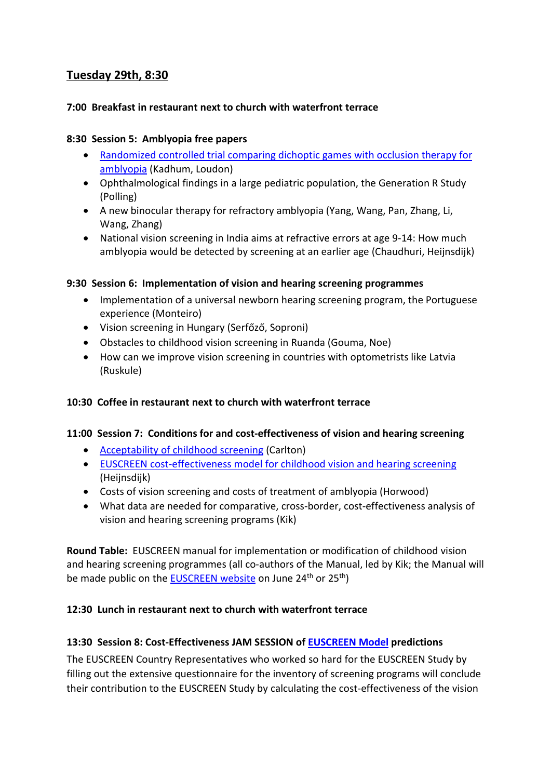# **Tuesday 29th, 8:30**

#### **7:00 Breakfast in restaurant next to church with waterfront terrace**

#### **8:30 Session 5: Amblyopia free papers**

- [Randomized controlled trial comparing dichoptic games with occlusion therapy for](https://pubmed.ncbi.nlm.nih.gov/34057550/)  [amblyopia](https://pubmed.ncbi.nlm.nih.gov/34057550/) (Kadhum, Loudon)
- Ophthalmological findings in a large pediatric population, the Generation R Study (Polling)
- A new binocular therapy for refractory amblyopia (Yang, Wang, Pan, Zhang, Li, Wang, Zhang)
- National vision screening in India aims at refractive errors at age 9-14: How much amblyopia would be detected by screening at an earlier age (Chaudhuri, Heijnsdijk)

#### **9:30 Session 6: Implementation of vision and hearing screening programmes**

- Implementation of a universal newborn hearing screening program, the Portuguese experience (Monteiro)
- Vision screening in Hungary (Serfőző, Soproni)
- Obstacles to childhood vision screening in Ruanda (Gouma, Noe)
- How can we improve vision screening in countries with optometrists like Latvia (Ruskule)

## **10:30 Coffee in restaurant next to church with waterfront terrace**

#### **11:00 Session 7: Conditions for and cost-effectiveness of vision and hearing screening**

- [Acceptability of childhood screening](https://www.sciencedirect.com/science/article/pii/S0033350621000639) (Carlton)
- [EUSCREEN cost-effectiveness model for childhood vision and hearing screening](https://pubmed.ncbi.nlm.nih.gov/33306547/) (Heijnsdijk)
- Costs of vision screening and costs of treatment of amblyopia (Horwood)
- What data are needed for comparative, cross-border, cost-effectiveness analysis of vision and hearing screening programs (Kik)

**Round Table:** EUSCREEN manual for implementation or modification of childhood vision and hearing screening programmes (all co-authors of the Manual, led by Kik; the Manual will be made public on the **EUSCREEN** website on June 24<sup>th</sup> or 25<sup>th</sup>)

## **12:30 Lunch in restaurant next to church with waterfront terrace**

## **13:30 Session 8: Cost-Effectiveness JAM SESSION o[f EUSCREEN Model](https://miscan.euscreen.org/) predictions**

The EUSCREEN Country Representatives who worked so hard for the EUSCREEN Study by filling out the extensive questionnaire for the inventory of screening programs will conclude their contribution to the EUSCREEN Study by calculating the cost-effectiveness of the vision